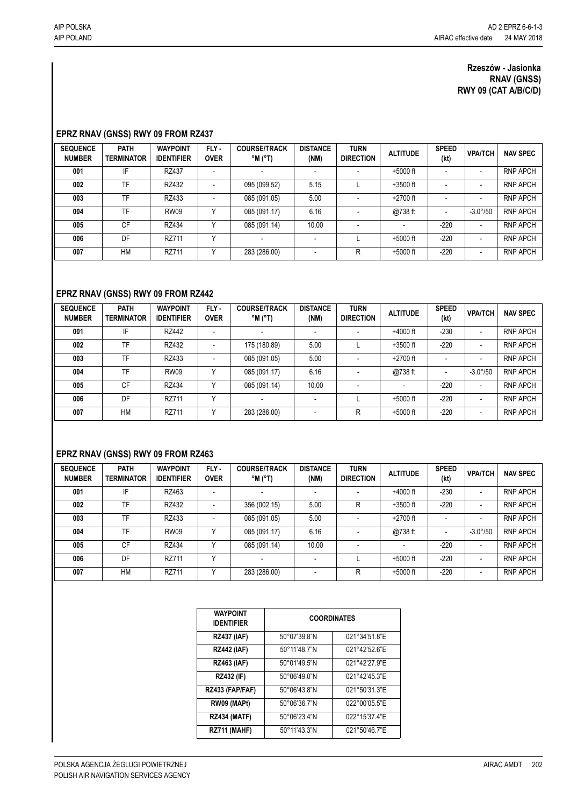#### **Rzeszów - Jasionka RNAV (GNSS) RWY 09 (CAT A/B/C/D)**

## **EPRZ RNAV (GNSS) RWY 09 FROM RZ437**

| <b>SEQUENCE</b><br><b>NUMBER</b> | <b>PATH</b><br><b>TERMINATOR</b> | <b>WAYPOINT</b><br><b>IDENTIFIER</b> | FLY-<br><b>OVER</b>      | <b>COURSE/TRACK</b><br>$^{\circ}$ M $^{\circ}$ T) | <b>DISTANCE</b><br>(NM) | <b>TURN</b><br><b>DIRECTION</b> | <b>ALTITUDE</b> | <b>SPEED</b><br>(kt) | <b>VPA/TCH</b>           | <b>NAV SPEC</b> |
|----------------------------------|----------------------------------|--------------------------------------|--------------------------|---------------------------------------------------|-------------------------|---------------------------------|-----------------|----------------------|--------------------------|-----------------|
| 001                              | IF                               | RZ437                                | $\overline{\phantom{a}}$ |                                                   |                         | $\overline{\phantom{a}}$        | $+5000$ ft      |                      | ٠                        | <b>RNP APCH</b> |
| 002                              | <b>TF</b>                        | RZ432                                | $\overline{\phantom{a}}$ | 095 (099.52)                                      | 5.15                    |                                 | $+3500$ ft      |                      | ٠                        | <b>RNP APCH</b> |
| 003                              | <b>TF</b>                        | RZ433                                | $\overline{\phantom{a}}$ | 085 (091.05)                                      | 5.00                    |                                 | $+2700$ ft      |                      | ۰                        | <b>RNP APCH</b> |
| 004                              | TF                               | <b>RW09</b>                          | v                        | 085 (091.17)                                      | 6.16                    |                                 | @738 ft         |                      | $-3.0^{\circ}/50$        | <b>RNP APCH</b> |
| 005                              | <b>CF</b>                        | RZ434                                | v                        | 085 (091.14)                                      | 10.00                   | $\overline{\phantom{a}}$        |                 | $-220$               | ٠                        | <b>RNP APCH</b> |
| 006                              | DF                               | RZ711                                | $\checkmark$             |                                                   |                         |                                 | $+5000$ ft      | $-220$               | ٠                        | <b>RNP APCH</b> |
| 007                              | HM                               | RZ711                                | $\checkmark$             | 283 (286.00)                                      |                         | R                               | $+5000$ ft      | $-220$               | $\overline{\phantom{0}}$ | <b>RNP APCH</b> |

## **EPRZ RNAV (GNSS) RWY 09 FROM RZ442**

| <b>SEQUENCE</b><br><b>NUMBER</b> | <b>PATH</b><br><b>TERMINATOR</b> | <b>WAYPOINT</b><br><b>IDENTIFIER</b> | FLY-<br><b>OVER</b>      | <b>COURSE/TRACK</b><br>$^{\circ}$ M ( $^{\circ}$ T) | <b>DISTANCE</b><br>(NM)  | <b>TURN</b><br><b>DIRECTION</b> | <b>ALTITUDE</b> | <b>SPEED</b><br>(kt) | <b>VPA/TCH</b>           | <b>NAV SPEC</b> |
|----------------------------------|----------------------------------|--------------------------------------|--------------------------|-----------------------------------------------------|--------------------------|---------------------------------|-----------------|----------------------|--------------------------|-----------------|
| 001                              | IF                               | RZ442                                | $\overline{\phantom{a}}$ |                                                     | $\overline{\phantom{0}}$ |                                 | $+4000$ ft      | $-230$               | ٠                        | <b>RNP APCH</b> |
| 002                              | TF                               | RZ432                                | $\overline{\phantom{a}}$ | 175 (180.89)                                        | 5.00                     |                                 | $+3500$ ft      | $-220$               | $\overline{\phantom{0}}$ | <b>RNP APCH</b> |
| 003                              | TF                               | RZ433                                | $\overline{\phantom{a}}$ | 085 (091.05)                                        | 5.00                     | $\blacksquare$                  | $+2700$ ft      |                      | $\overline{\phantom{0}}$ | <b>RNP APCH</b> |
| 004                              | TF                               | <b>RW09</b>                          | v                        | 085 (091.17)                                        | 6.16                     |                                 | @738 ft         |                      | $-3.0^{\circ}/50$        | <b>RNP APCH</b> |
| 005                              | <b>CF</b>                        | RZ434                                | v                        | 085 (091.14)                                        | 10.00                    | ٠                               | ٠               | $-220$               | ٠                        | <b>RNP APCH</b> |
| 006                              | DF                               | RZ711                                | v                        |                                                     |                          |                                 | $+5000$ ft      | $-220$               | ۰                        | <b>RNP APCH</b> |
| 007                              | <b>HM</b>                        | RZ711                                | v                        | 283 (286.00)                                        | $\overline{\phantom{0}}$ | R                               | $+5000$ ft      | $-220$               | ٠                        | <b>RNP APCH</b> |

# **EPRZ RNAV (GNSS) RWY 09 FROM RZ463**

| <b>SEQUENCE</b><br><b>NUMBER</b> | <b>PATH</b><br><b>TERMINATOR</b> | <b>WAYPOINT</b><br><b>IDENTIFIER</b> | FLY-<br><b>OVER</b>      | <b>COURSE/TRACK</b><br>$^{\circ}$ M ( $^{\circ}$ T) | <b>DISTANCE</b><br>(NM) | <b>TURN</b><br><b>DIRECTION</b> | <b>ALTITUDE</b> | <b>SPEED</b><br>(kt) | <b>VPA/TCH</b>           | <b>NAV SPEC</b> |
|----------------------------------|----------------------------------|--------------------------------------|--------------------------|-----------------------------------------------------|-------------------------|---------------------------------|-----------------|----------------------|--------------------------|-----------------|
| 001                              | IF                               | RZ463                                | $\overline{\phantom{a}}$ |                                                     |                         | $\overline{\phantom{0}}$        | $+4000$ ft      | $-230$               | $\overline{\phantom{0}}$ | <b>RNP APCH</b> |
| 002                              | <b>TF</b>                        | RZ432                                | $\overline{\phantom{0}}$ | 356 (002.15)                                        | 5.00                    | R                               | $+3500$ ft      | $-220$               | $\overline{\phantom{0}}$ | <b>RNP APCH</b> |
| 003                              | <b>TF</b>                        | RZ433                                | $\overline{\phantom{a}}$ | 085 (091.05)                                        | 5.00                    |                                 | $+2700$ ft      |                      | $\overline{\phantom{0}}$ | <b>RNP APCH</b> |
| 004                              | TF                               | <b>RW09</b>                          | v                        | 085 (091.17)                                        | 6.16                    |                                 | @738 ft         |                      | $-3.0^{\circ}/50$        | <b>RNP APCH</b> |
| 005                              | <b>CF</b>                        | RZ434                                |                          | 085 (091.14)                                        | 10.00                   | ٠                               | ٠               | $-220$               | $\overline{\phantom{0}}$ | <b>RNP APCH</b> |
| 006                              | DF                               | RZ711                                | $\checkmark$             |                                                     |                         |                                 | $+5000$ ft      | $-220$               | $\overline{\phantom{0}}$ | <b>RNP APCH</b> |
| 007                              | HM                               | RZ711                                | v                        | 283 (286.00)                                        |                         | R                               | $+5000$ ft      | $-220$               | $\overline{\phantom{0}}$ | <b>RNP APCH</b> |

| <b>WAYPOINT</b><br><b>IDENTIFIER</b> | <b>COORDINATES</b> |               |  |  |  |  |  |
|--------------------------------------|--------------------|---------------|--|--|--|--|--|
| <b>RZ437 (IAF)</b>                   | 50°07'39.8"N       | 021°34'51.8"E |  |  |  |  |  |
| <b>RZ442 (IAF)</b>                   | 50°11'48.7"N       | 021°42'52.6"E |  |  |  |  |  |
| <b>RZ463 (IAF)</b>                   | 50°01'49.5"N       | 021°42'27.9"E |  |  |  |  |  |
| <b>RZ432 (IF)</b>                    | 50°06'49.0"N       | 021°42'45.3"E |  |  |  |  |  |
| RZ433 (FAP/FAF)                      | 50°06'43.8"N       | 021°50'31.3"E |  |  |  |  |  |
| RW09 (MAPt)                          | 50°06'36.7"N       | 022°00'05.5"E |  |  |  |  |  |
| <b>RZ434 (MATF)</b>                  | 50°06'23.4"N       | 022°15'37.4"E |  |  |  |  |  |
| RZ711 (MAHF)                         | 50°11'43.3"N       | 021°50'46.7"E |  |  |  |  |  |